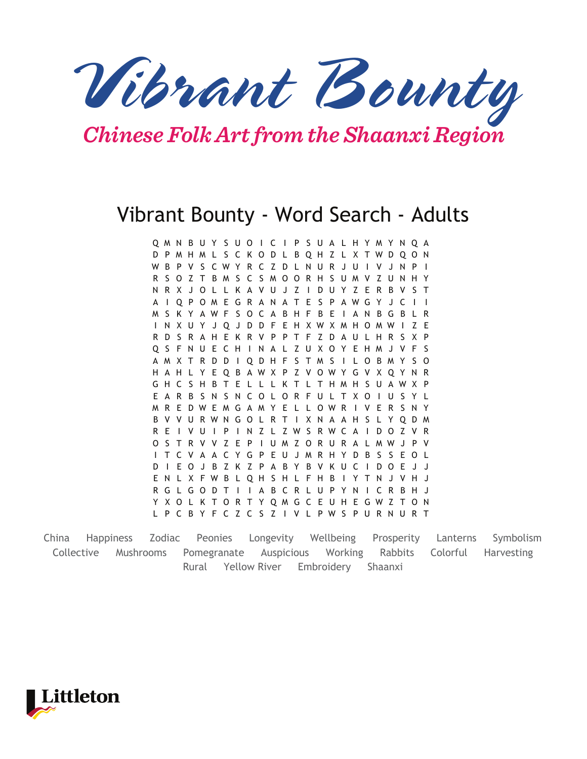*Vibrant Bounty*

## *Chinese Folk Art from the Shaanxi Region*

## Vibrant Bounty - Word Search - Adults

Q M N B U Y S U O I C I P S U A L H Y M Y N Q A D P M H M L S C K O D L B Q H Z L X T W D Q O N W B P V S C W Y R C Z D L N U R J U I V J N P I R S O Z T B M S C S M O O R H S U M V Z U N H Y N R X J O L L K A V U J Z I D U Y Z E R B V S T A I Q P O M E G R A N A T E S P A W G Y J C I I M S K Y A W F S O C A B H F B E I A N B G B L R I N X U Y J Q J D D F E H X W X M H O M W I Z E R D S R A H E K R V P P T F Z D A U L H R S X P Q S F N U E C H I N A L Z U X O Y E H M J V F S A M X T R D D I Q D H F S T M S I L O B M Y S O H A H L Y E Q B A W X P Z V O W Y G V X Q Y N R G H C S H B T E L L L K T L T H M H S U A W X P E A R B S N S N C O L O R F U L T X O I U S Y L M R E D W E M G A M Y E L L O W R I V E R S N Y B V V U R W N G O L R T I X N A A H S L Y Q D M R E I V U I P I N Z L Z W S R W C A I D O Z V R O S T R V V Z E P I U M Z O R U R A L M W J P V I T C V A A C Y G P E U J M R H Y D B S S E O L D I E O J B Z K Z P A B Y B V K U C I D O E J J E N L X F W B L Q H S H L F H B I Y T N J V H J R G L G O D T I I A B C R L U P Y N I C R B H J Y X O L K T O R T Y Q M G C E U H E G W Z T O N L P C B Y F C Z C S Z I V L P W S P U R N U R T

China Happiness Zodiac Peonies Longevity Wellbeing Prosperity Lanterns Symbolism Collective Mushrooms Pomegranate Auspicious Working Rabbits Colorful Harvesting Rural Yellow River Embroidery Shaanxi